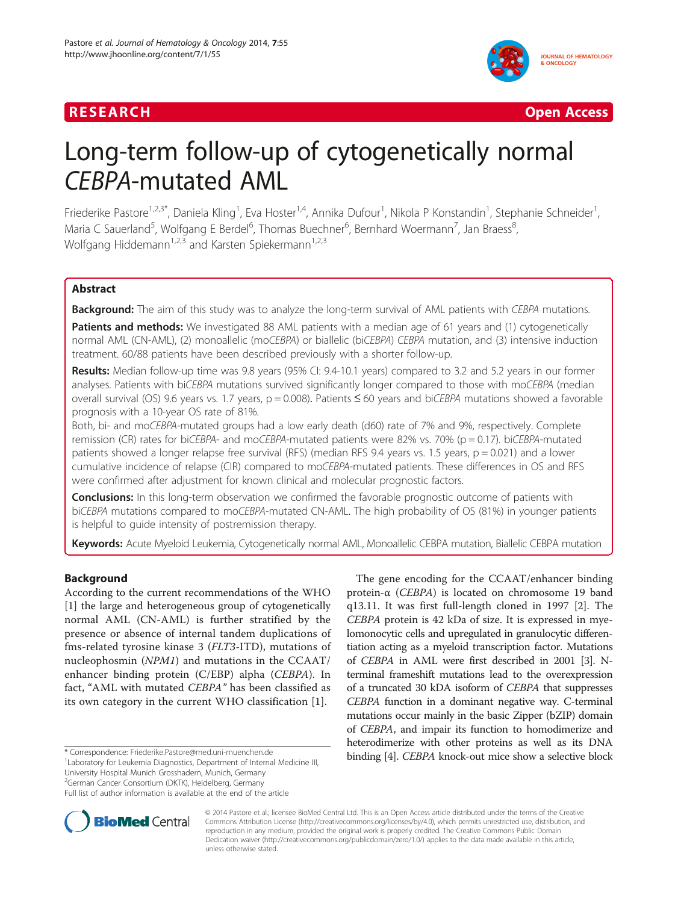



# Long-term follow-up of cytogenetically normal CEBPA-mutated AML

Friederike Pastore<sup>1,2,3\*</sup>, Daniela Kling<sup>1</sup>, Eva Hoster<sup>1,4</sup>, Annika Dufour<sup>1</sup>, Nikola P Konstandin<sup>1</sup>, Stephanie Schneider<sup>1</sup> , Maria C Sauerland<sup>5</sup>, Wolfgang E Berdel<sup>6</sup>, Thomas Buechner<sup>6</sup>, Bernhard Woermann<sup>7</sup>, Jan Braess<sup>8</sup> ;<br>, Wolfgang Hiddemann<sup>1,2,3</sup> and Karsten Spiekermann<sup>1,2,3</sup>

# Abstract

**Background:** The aim of this study was to analyze the long-term survival of AML patients with CEBPA mutations.

Patients and methods: We investigated 88 AML patients with a median age of 61 years and (1) cytogenetically normal AML (CN-AML), (2) monoallelic (moCEBPA) or biallelic (biCEBPA) CEBPA mutation, and (3) intensive induction treatment. 60/88 patients have been described previously with a shorter follow-up.

Results: Median follow-up time was 9.8 years (95% CI: 9.4-10.1 years) compared to 3.2 and 5.2 years in our former analyses. Patients with biCEBPA mutations survived significantly longer compared to those with moCEBPA (median overall survival (OS) 9.6 years vs. 1.7 years, p = 0.008). Patients ≤ 60 years and biCEBPA mutations showed a favorable prognosis with a 10-year OS rate of 81%.

Both, bi- and moCEBPA-mutated groups had a low early death (d60) rate of 7% and 9%, respectively. Complete remission (CR) rates for biCEBPA- and moCEBPA-mutated patients were 82% vs. 70% (p = 0.17). biCEBPA-mutated patients showed a longer relapse free survival (RFS) (median RFS 9.4 years vs. 1.5 years,  $p = 0.021$ ) and a lower cumulative incidence of relapse (CIR) compared to moCEBPA-mutated patients. These differences in OS and RFS were confirmed after adjustment for known clinical and molecular prognostic factors.

**Conclusions:** In this long-term observation we confirmed the favorable prognostic outcome of patients with biCEBPA mutations compared to moCEBPA-mutated CN-AML. The high probability of OS (81%) in younger patients is helpful to guide intensity of postremission therapy.

Keywords: Acute Myeloid Leukemia, Cytogenetically normal AML, Monoallelic CEBPA mutation, Biallelic CEBPA mutation

# Background

According to the current recommendations of the WHO [[1\]](#page-6-0) the large and heterogeneous group of cytogenetically normal AML (CN-AML) is further stratified by the presence or absence of internal tandem duplications of fms-related tyrosine kinase 3 (FLT3-ITD), mutations of nucleophosmin (NPM1) and mutations in the CCAAT/ enhancer binding protein (C/EBP) alpha (CEBPA). In fact, "AML with mutated CEBPA" has been classified as its own category in the current WHO classification [[1\]](#page-6-0).

<sup>1</sup> Laboratory for Leukemia Diagnostics, Department of Internal Medicine III,

University Hospital Munich Grosshadern, Munich, Germany

2 German Cancer Consortium (DKTK), Heidelberg, Germany

The gene encoding for the CCAAT/enhancer binding protein-α (CEBPA) is located on chromosome 19 band q13.11. It was first full-length cloned in 1997 [[2\]](#page-6-0). The CEBPA protein is 42 kDa of size. It is expressed in myelomonocytic cells and upregulated in granulocytic differentiation acting as a myeloid transcription factor. Mutations of CEBPA in AML were first described in 2001 [\[3](#page-6-0)]. Nterminal frameshift mutations lead to the overexpression of a truncated 30 kDA isoform of CEBPA that suppresses CEBPA function in a dominant negative way. C-terminal mutations occur mainly in the basic Zipper (bZIP) domain of CEBPA, and impair its function to homodimerize and heterodimerize with other proteins as well as its DNA binding [[4](#page-6-0)]. CEBPA knock-out mice show a selective block \* Correspondence: [Friederike.Pastore@med.uni-muenchen.de](mailto:Friederike.Pastore@med.uni-muenchen.de) <sup>1</sup>



© 2014 Pastore et al.; licensee BioMed Central Ltd. This is an Open Access article distributed under the terms of the Creative Commons Attribution License [\(http://creativecommons.org/licenses/by/4.0\)](http://creativecommons.org/licenses/by/4.0), which permits unrestricted use, distribution, and reproduction in any medium, provided the original work is properly credited. The Creative Commons Public Domain Dedication waiver [\(http://creativecommons.org/publicdomain/zero/1.0/](http://creativecommons.org/publicdomain/zero/1.0/)) applies to the data made available in this article, unless otherwise stated.

Full list of author information is available at the end of the article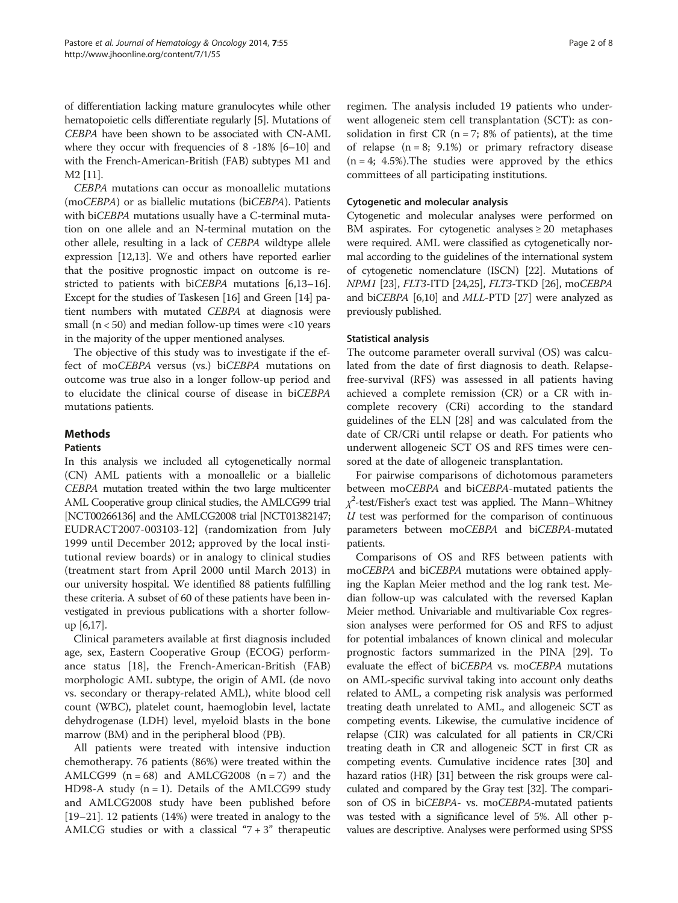of differentiation lacking mature granulocytes while other hematopoietic cells differentiate regularly [\[5\]](#page-6-0). Mutations of CEBPA have been shown to be associated with CN-AML where they occur with frequencies of 8 -18% [[6](#page-6-0)–[10\]](#page-6-0) and with the French-American-British (FAB) subtypes M1 and M2 [\[11\]](#page-7-0).

CEBPA mutations can occur as monoallelic mutations (moCEBPA) or as biallelic mutations (biCEBPA). Patients with biCEBPA mutations usually have a C-terminal mutation on one allele and an N-terminal mutation on the other allele, resulting in a lack of CEBPA wildtype allele expression [\[12,13\]](#page-7-0). We and others have reported earlier that the positive prognostic impact on outcome is restricted to patients with biCEBPA mutations [\[6](#page-6-0)[,13](#page-7-0)–[16](#page-7-0)]. Except for the studies of Taskesen [[16](#page-7-0)] and Green [\[14\]](#page-7-0) patient numbers with mutated CEBPA at diagnosis were small ( $n < 50$ ) and median follow-up times were  $< 10$  years in the majority of the upper mentioned analyses.

The objective of this study was to investigate if the effect of moCEBPA versus (vs.) biCEBPA mutations on outcome was true also in a longer follow-up period and to elucidate the clinical course of disease in biCEBPA mutations patients.

# Methods

## Patients

In this analysis we included all cytogenetically normal (CN) AML patients with a monoallelic or a biallelic CEBPA mutation treated within the two large multicenter AML Cooperative group clinical studies, the AMLCG99 trial [NCT00266136] and the AMLCG2008 trial [NCT01382147; EUDRACT2007-003103-12] (randomization from July 1999 until December 2012; approved by the local institutional review boards) or in analogy to clinical studies (treatment start from April 2000 until March 2013) in our university hospital. We identified 88 patients fulfilling these criteria. A subset of 60 of these patients have been investigated in previous publications with a shorter followup [[6](#page-6-0)[,17\]](#page-7-0).

Clinical parameters available at first diagnosis included age, sex, Eastern Cooperative Group (ECOG) performance status [[18\]](#page-7-0), the French-American-British (FAB) morphologic AML subtype, the origin of AML (de novo vs. secondary or therapy-related AML), white blood cell count (WBC), platelet count, haemoglobin level, lactate dehydrogenase (LDH) level, myeloid blasts in the bone marrow (BM) and in the peripheral blood (PB).

All patients were treated with intensive induction chemotherapy. 76 patients (86%) were treated within the AMLCG99  $(n = 68)$  and AMLCG2008  $(n = 7)$  and the HD98-A study  $(n = 1)$ . Details of the AMLCG99 study and AMLCG2008 study have been published before [[19](#page-7-0)–[21](#page-7-0)]. 12 patients (14%) were treated in analogy to the AMLCG studies or with a classical " $7+3$ " therapeutic

regimen. The analysis included 19 patients who underwent allogeneic stem cell transplantation (SCT): as consolidation in first CR ( $n = 7$ ; 8% of patients), at the time of relapse  $(n = 8; 9.1\%)$  or primary refractory disease  $(n = 4; 4.5\%).$ The studies were approved by the ethics committees of all participating institutions.

### Cytogenetic and molecular analysis

Cytogenetic and molecular analyses were performed on BM aspirates. For cytogenetic analyses  $\geq 20$  metaphases were required. AML were classified as cytogenetically normal according to the guidelines of the international system of cytogenetic nomenclature (ISCN) [[22](#page-7-0)]. Mutations of NPM1 [[23](#page-7-0)], FLT3-ITD [[24,25\]](#page-7-0), FLT3-TKD [[26](#page-7-0)], moCEBPA and biCEBPA [[6,10](#page-6-0)] and MLL-PTD [[27](#page-7-0)] were analyzed as previously published.

# Statistical analysis

The outcome parameter overall survival (OS) was calculated from the date of first diagnosis to death. Relapsefree-survival (RFS) was assessed in all patients having achieved a complete remission (CR) or a CR with incomplete recovery (CRi) according to the standard guidelines of the ELN [\[28\]](#page-7-0) and was calculated from the date of CR/CRi until relapse or death. For patients who underwent allogeneic SCT OS and RFS times were censored at the date of allogeneic transplantation.

For pairwise comparisons of dichotomous parameters between moCEBPA and biCEBPA-mutated patients the  $\chi^2$ -test/Fisher's exact test was applied. The Mann–Whitney  $U$  test was performed for the comparison of continuous parameters between moCEBPA and biCEBPA-mutated patients.

Comparisons of OS and RFS between patients with moCEBPA and biCEBPA mutations were obtained applying the Kaplan Meier method and the log rank test. Median follow-up was calculated with the reversed Kaplan Meier method. Univariable and multivariable Cox regression analyses were performed for OS and RFS to adjust for potential imbalances of known clinical and molecular prognostic factors summarized in the PINA [\[29\]](#page-7-0). To evaluate the effect of biCEBPA vs. moCEBPA mutations on AML-specific survival taking into account only deaths related to AML, a competing risk analysis was performed treating death unrelated to AML, and allogeneic SCT as competing events. Likewise, the cumulative incidence of relapse (CIR) was calculated for all patients in CR/CRi treating death in CR and allogeneic SCT in first CR as competing events. Cumulative incidence rates [\[30\]](#page-7-0) and hazard ratios (HR) [\[31\]](#page-7-0) between the risk groups were calculated and compared by the Gray test [\[32\]](#page-7-0). The comparison of OS in biCEBPA- vs. moCEBPA-mutated patients was tested with a significance level of 5%. All other pvalues are descriptive. Analyses were performed using SPSS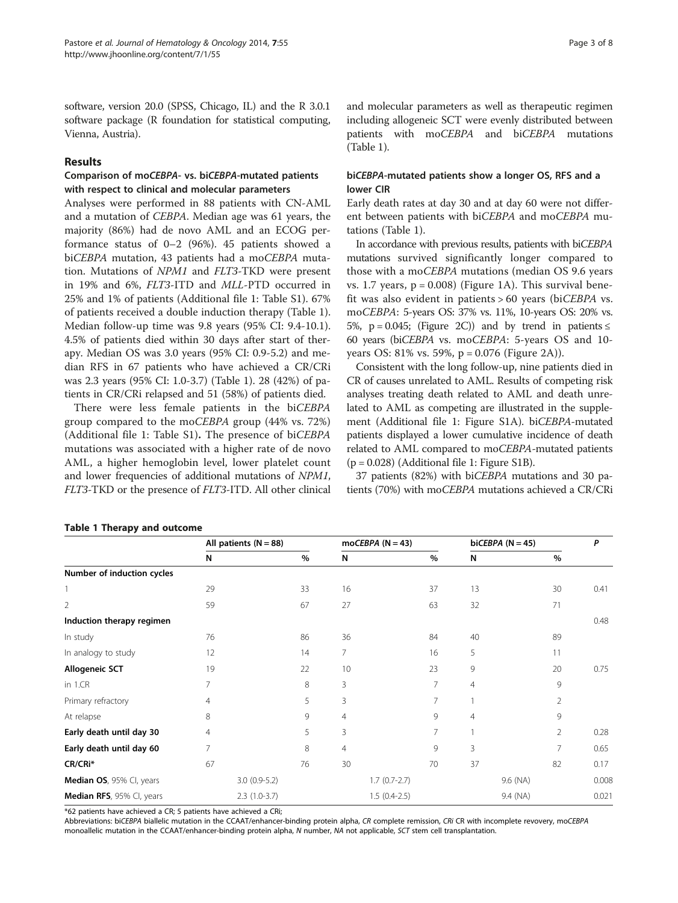<span id="page-2-0"></span>software, version 20.0 (SPSS, Chicago, IL) and the R 3.0.1 software package (R foundation for statistical computing, Vienna, Austria).

# Results

# Comparison of moCEBPA- vs. biCEBPA-mutated patients with respect to clinical and molecular parameters

Analyses were performed in 88 patients with CN-AML and a mutation of CEBPA. Median age was 61 years, the majority (86%) had de novo AML and an ECOG performance status of 0–2 (96%). 45 patients showed a biCEBPA mutation, 43 patients had a moCEBPA mutation. Mutations of NPM1 and FLT3-TKD were present in 19% and 6%, FLT3-ITD and MLL-PTD occurred in 25% and 1% of patients (Additional file [1](#page-6-0): Table S1). 67% of patients received a double induction therapy (Table 1). Median follow-up time was 9.8 years (95% CI: 9.4-10.1). 4.5% of patients died within 30 days after start of therapy. Median OS was 3.0 years (95% CI: 0.9-5.2) and median RFS in 67 patients who have achieved a CR/CRi was 2.3 years (95% CI: 1.0-3.7) (Table 1). 28 (42%) of patients in CR/CRi relapsed and 51 (58%) of patients died.

There were less female patients in the biCEBPA group compared to the moCEBPA group (44% vs. 72%) (Additional file [1:](#page-6-0) Table S1). The presence of biCEBPA mutations was associated with a higher rate of de novo AML, a higher hemoglobin level, lower platelet count and lower frequencies of additional mutations of NPM1, FLT3-TKD or the presence of FLT3-ITD. All other clinical

# and molecular parameters as well as therapeutic regimen including allogeneic SCT were evenly distributed between patients with moCEBPA and biCEBPA mutations (Table 1).

# biCEBPA-mutated patients show a longer OS, RFS and a lower CIR

Early death rates at day 30 and at day 60 were not different between patients with biCEBPA and moCEBPA mutations (Table 1).

In accordance with previous results, patients with biCEBPA mutations survived significantly longer compared to those with a moCEBPA mutations (median OS 9.6 years vs. [1](#page-3-0).7 years,  $p = 0.008$ ) (Figure 1A). This survival benefit was also evident in patients > 60 years (biCEBPA vs. moCEBPA: 5-years OS: 37% vs. 11%, 10-years OS: 20% vs. 5%,  $p = 0.045$ ; (Figure [2C](#page-4-0))) and by trend in patients  $\le$ 60 years (biCEBPA vs. moCEBPA: 5-years OS and 10 years OS: 81% vs. 59%, p = 0.076 (Figure [2](#page-4-0)A)).

Consistent with the long follow-up, nine patients died in CR of causes unrelated to AML. Results of competing risk analyses treating death related to AML and death unrelated to AML as competing are illustrated in the supplement (Additional file [1:](#page-6-0) Figure S1A). biCEBPA-mutated patients displayed a lower cumulative incidence of death related to AML compared to moCEBPA-mutated patients  $(p = 0.028)$  (Additional file [1](#page-6-0): Figure S1B).

37 patients (82%) with biCEBPA mutations and 30 patients (70%) with moCEBPA mutations achieved a CR/CRi

|                            | All patients $(N = 88)$ |                |                | moCEBPA $(N = 43)$ |      |    | biCEBPA $(N = 45)$ |       |
|----------------------------|-------------------------|----------------|----------------|--------------------|------|----|--------------------|-------|
|                            | N                       | $\%$           | N              |                    | $\%$ | N  | %                  |       |
| Number of induction cycles |                         |                |                |                    |      |    |                    |       |
|                            | 29                      | 33             | 16             |                    | 37   | 13 | 30                 | 0.41  |
| $\overline{2}$             | 59                      | 67             | 27             |                    | 63   | 32 | 71                 |       |
| Induction therapy regimen  |                         |                |                |                    |      |    |                    | 0.48  |
| In study                   | 76                      | 86             | 36             |                    | 84   | 40 | 89                 |       |
| In analogy to study        | 12                      | 14             | 7              |                    | 16   | 5  | 11                 |       |
| <b>Allogeneic SCT</b>      | 19                      | 22             | 10             |                    | 23   | 9  | 20                 | 0.75  |
| in 1.CR                    | 7                       | 8              | 3              |                    | 7    | 4  | 9                  |       |
| Primary refractory         | $\overline{4}$          | 5              | 3              |                    | 7    |    | 2                  |       |
| At relapse                 | 8                       | 9              | 4              |                    | 9    | 4  | 9                  |       |
| Early death until day 30   | 4                       | 5              | 3              |                    | 7    |    | $\overline{2}$     | 0.28  |
| Early death until day 60   | 7                       | 8              | $\overline{4}$ |                    | 9    | 3  | 7                  | 0.65  |
| CR/CRi*                    | 67                      | 76             | 30             |                    | 70   | 37 | 82                 | 0.17  |
| Median OS, 95% Cl, years   |                         | $3.0(0.9-5.2)$ |                | $1.7(0.7-2.7)$     |      |    | 9.6 (NA)           | 0.008 |
| Median RFS, 95% Cl, years  |                         | $2.3(1.0-3.7)$ |                | $1.5(0.4-2.5)$     |      |    | 9.4 (NA)           | 0.021 |

#### Table 1 Therapy and outcome

\*62 patients have achieved a CR; 5 patients have achieved a CRi;

Abbreviations: biCEBPA biallelic mutation in the CCAAT/enhancer-binding protein alpha, CR complete remission, CRi CR with incomplete revovery, moCEBPA monoallelic mutation in the CCAAT/enhancer-binding protein alpha, N number, NA not applicable, SCT stem cell transplantation.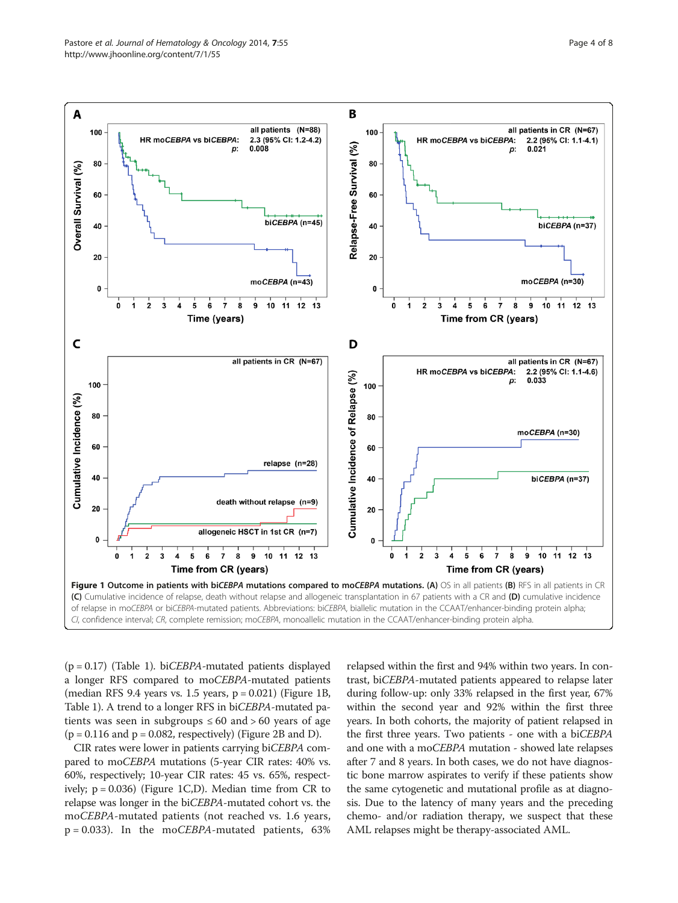<span id="page-3-0"></span>

 $(p = 0.17)$  (Table [1\)](#page-2-0). biCEBPA-mutated patients displayed a longer RFS compared to moCEBPA-mutated patients (median RFS 9.4 years vs.  $1.5$  years,  $p = 0.021$ ) (Figure 1B, Table [1\)](#page-2-0). A trend to a longer RFS in biCEBPA-mutated patients was seen in subgroups  $\leq 60$  and  $> 60$  years of age  $(p = 0.116$  and  $p = 0.082$ , respectively) (Figure [2](#page-4-0)B and D).

CIR rates were lower in patients carrying biCEBPA compared to moCEBPA mutations (5-year CIR rates: 40% vs. 60%, respectively; 10-year CIR rates: 45 vs. 65%, respectively;  $p = 0.036$ ) (Figure 1C,D). Median time from CR to relapse was longer in the biCEBPA-mutated cohort vs. the moCEBPA-mutated patients (not reached vs. 1.6 years,  $p = 0.033$ ). In the mo*CEBPA*-mutated patients, 63%

relapsed within the first and 94% within two years. In contrast, biCEBPA-mutated patients appeared to relapse later during follow-up: only 33% relapsed in the first year, 67% within the second year and 92% within the first three years. In both cohorts, the majority of patient relapsed in the first three years. Two patients - one with a biCEBPA and one with a moCEBPA mutation - showed late relapses after 7 and 8 years. In both cases, we do not have diagnostic bone marrow aspirates to verify if these patients show the same cytogenetic and mutational profile as at diagnosis. Due to the latency of many years and the preceding chemo- and/or radiation therapy, we suspect that these AML relapses might be therapy-associated AML.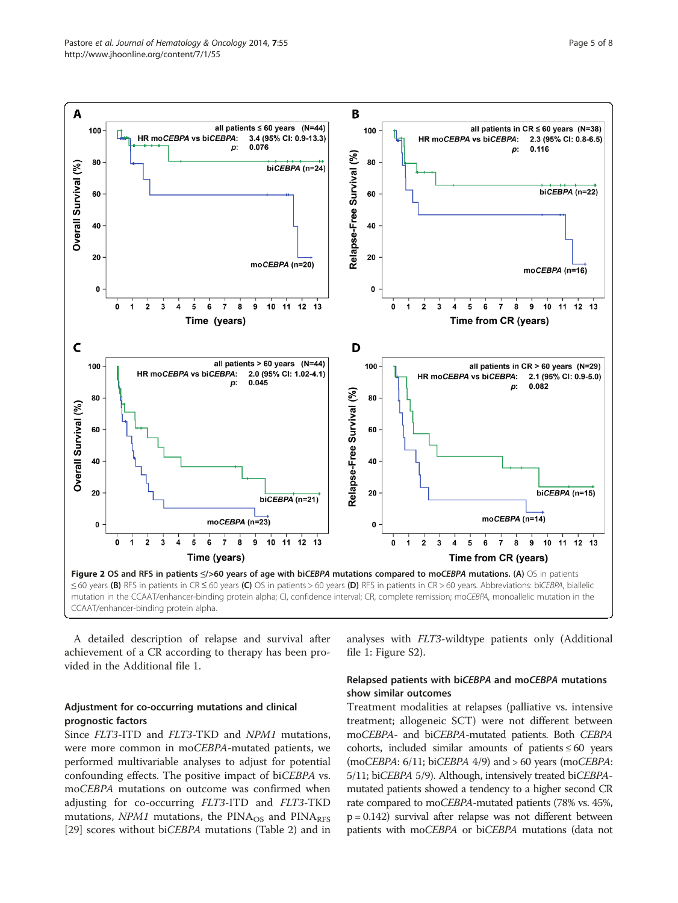<span id="page-4-0"></span>

A detailed description of relapse and survival after achievement of a CR according to therapy has been provided in the Additional file [1.](#page-6-0)

# Adjustment for co-occurring mutations and clinical prognostic factors

Since FLT3-ITD and FLT3-TKD and NPM1 mutations, were more common in moCEBPA-mutated patients, we performed multivariable analyses to adjust for potential confounding effects. The positive impact of biCEBPA vs. moCEBPA mutations on outcome was confirmed when adjusting for co-occurring FLT3-ITD and FLT3-TKD mutations,  $NPM1$  mutations, the  $PINA_{OS}$  and  $PINA_{RFS}$ [[29\]](#page-7-0) scores without biCEBPA mutations (Table [2\)](#page-5-0) and in analyses with FLT3-wildtype patients only (Additional file [1:](#page-6-0) Figure S2).

# Relapsed patients with biCEBPA and moCEBPA mutations show similar outcomes

Treatment modalities at relapses (palliative vs. intensive treatment; allogeneic SCT) were not different between moCEBPA- and biCEBPA-mutated patients. Both CEBPA cohorts, included similar amounts of patients  $\leq 60$  years (moCEBPA: 6/11; biCEBPA 4/9) and > 60 years (moCEBPA: 5/11; biCEBPA 5/9). Although, intensively treated biCEBPAmutated patients showed a tendency to a higher second CR rate compared to moCEBPA-mutated patients (78% vs. 45%, p = 0.142) survival after relapse was not different between patients with moCEBPA or biCEBPA mutations (data not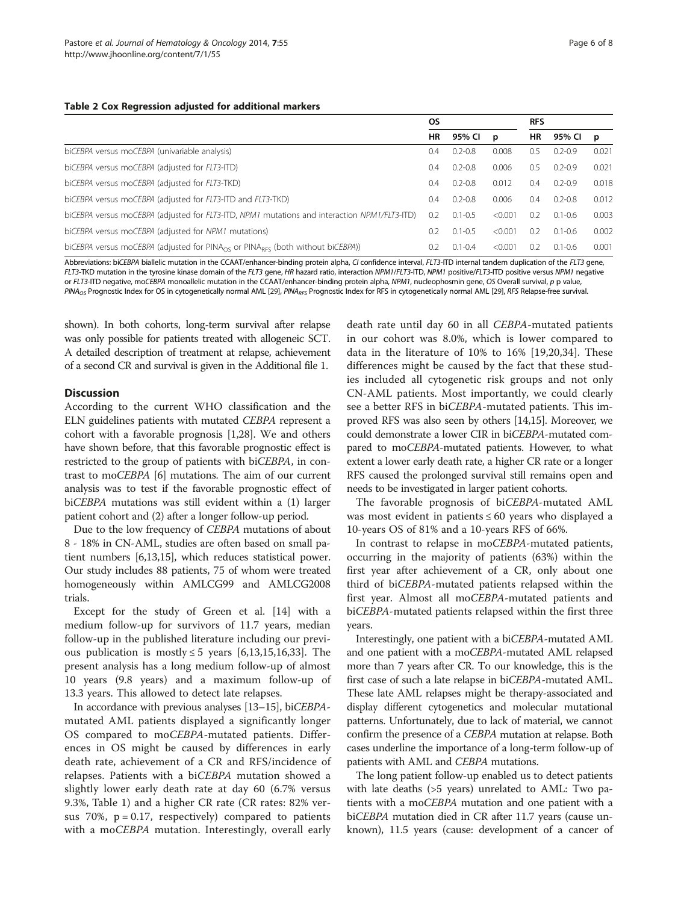#### <span id="page-5-0"></span>Table 2 Cox Regression adjusted for additional markers

|                                                                                                        | <b>OS</b> |             |         | <b>RFS</b> |             |       |
|--------------------------------------------------------------------------------------------------------|-----------|-------------|---------|------------|-------------|-------|
|                                                                                                        | HR        | 95% CI      | p       | HR         | 95% CI      | p     |
| biCEBPA versus moCEBPA (univariable analysis)                                                          |           | $0.2 - 0.8$ | 0.008   | 0.5        | $0.2 - 0.9$ | 0.021 |
| biCEBPA versus moCEBPA (adjusted for FLT3-ITD)                                                         |           | $0.2 - 0.8$ | 0.006   | 0.5        | $0.2 - 0.9$ | 0.021 |
| biCEBPA versus moCEBPA (adjusted for FLT3-TKD)                                                         |           | $0.2 - 0.8$ | 0.012   | 0.4        | $0.2 - 0.9$ | 0.018 |
| biCEBPA versus moCEBPA (adjusted for FLT3-ITD and FLT3-TKD)                                            |           | $0.2 - 0.8$ | 0.006   | 0.4        | $0.2 - 0.8$ | 0.012 |
| biCEBPA versus moCEBPA (adjusted for FLT3-ITD, NPM1 mutations and interaction NPM1/FLT3-ITD)           |           | $0.1 - 0.5$ | < 0.001 | 0.2        | $0.1 - 0.6$ | 0.003 |
| biCEBPA versus moCEBPA (adjusted for NPM1 mutations)                                                   |           | $0.1 - 0.5$ | < 0.001 | 0.2        | $0.1 - 0.6$ | 0.002 |
| biCEBPA versus moCEBPA (adjusted for PINA <sub>OS</sub> or PINA <sub>RES</sub> (both without biCEBPA)) |           | $0.1 - 0.4$ | < 0.001 | 0.2        | $0.1 - 0.6$ | 0.001 |

Abbreviations: biCEBPA biallelic mutation in the CCAAT/enhancer-binding protein alpha, CI confidence interval, FLT3-ITD internal tandem duplication of the FLT3 gene,<br>FLT3-IKD mutation in the tyrosine kinase domain of the F FLT3-TKD mutation in the tyrosine kinase domain of the FLT3 gene, HR hazard ratio, interaction NPM1/FLT3-ITD, NPM1 positive/FLT3-ITD positive versus NPM1 negative<br>or ELT3-ITD perative moCERP4 monoallelic mutation in the CC or FLT3-ITD negative, moCEBPA monoallelic mutation in the CCAAT/enhancer-binding protein alpha, NPM1, nucleophosmin gene, OS Overall survival, p p value,<br>PINA -- Prognostic Index for OS in cytogenetically normal AML [29]. PINA<sub>OS</sub> Prognostic Index for OS in cytogenetically normal AML [\[29](#page-7-0)], PINA<sub>RFS</sub> Prognostic Index for RFS in cytogenetically normal AML [[29\]](#page-7-0), RFS Relapse-free survival.

shown). In both cohorts, long-term survival after relapse was only possible for patients treated with allogeneic SCT. A detailed description of treatment at relapse, achievement of a second CR and survival is given in the Additional file [1](#page-6-0).

#### **Discussion**

According to the current WHO classification and the ELN guidelines patients with mutated CEBPA represent a cohort with a favorable prognosis [[1,](#page-6-0)[28](#page-7-0)]. We and others have shown before, that this favorable prognostic effect is restricted to the group of patients with biCEBPA, in contrast to moCEBPA [\[6](#page-6-0)] mutations. The aim of our current analysis was to test if the favorable prognostic effect of biCEBPA mutations was still evident within a (1) larger patient cohort and (2) after a longer follow-up period.

Due to the low frequency of CEBPA mutations of about 8 - 18% in CN-AML, studies are often based on small patient numbers [[6,](#page-6-0)[13,15](#page-7-0)], which reduces statistical power. Our study includes 88 patients, 75 of whom were treated homogeneously within AMLCG99 and AMLCG2008 trials.

Except for the study of Green et al. [[14](#page-7-0)] with a medium follow-up for survivors of 11.7 years, median follow-up in the published literature including our previous publication is mostly  $\leq$  5 years [[6,](#page-6-0)[13,15](#page-7-0),[16](#page-7-0),[33](#page-7-0)]. The present analysis has a long medium follow-up of almost 10 years (9.8 years) and a maximum follow-up of 13.3 years. This allowed to detect late relapses.

In accordance with previous analyses [[13](#page-7-0)–[15\]](#page-7-0), biCEBPAmutated AML patients displayed a significantly longer OS compared to moCEBPA-mutated patients. Differences in OS might be caused by differences in early death rate, achievement of a CR and RFS/incidence of relapses. Patients with a biCEBPA mutation showed a slightly lower early death rate at day 60 (6.7% versus 9.3%, Table [1\)](#page-2-0) and a higher CR rate (CR rates: 82% versus 70%,  $p = 0.17$ , respectively) compared to patients with a mo*CEBPA* mutation. Interestingly, overall early

death rate until day 60 in all CEBPA-mutated patients in our cohort was 8.0%, which is lower compared to data in the literature of 10% to 16% [[19,20,34](#page-7-0)]. These differences might be caused by the fact that these studies included all cytogenetic risk groups and not only CN-AML patients. Most importantly, we could clearly see a better RFS in biCEBPA-mutated patients. This improved RFS was also seen by others [[14,15\]](#page-7-0). Moreover, we could demonstrate a lower CIR in biCEBPA-mutated compared to moCEBPA-mutated patients. However, to what extent a lower early death rate, a higher CR rate or a longer RFS caused the prolonged survival still remains open and needs to be investigated in larger patient cohorts.

The favorable prognosis of biCEBPA-mutated AML was most evident in patients ≤ 60 years who displayed a 10-years OS of 81% and a 10-years RFS of 66%.

In contrast to relapse in moCEBPA-mutated patients, occurring in the majority of patients (63%) within the first year after achievement of a CR, only about one third of biCEBPA-mutated patients relapsed within the first year. Almost all moCEBPA-mutated patients and biCEBPA-mutated patients relapsed within the first three years.

Interestingly, one patient with a biCEBPA-mutated AML and one patient with a moCEBPA-mutated AML relapsed more than 7 years after CR. To our knowledge, this is the first case of such a late relapse in biCEBPA-mutated AML. These late AML relapses might be therapy-associated and display different cytogenetics and molecular mutational patterns. Unfortunately, due to lack of material, we cannot confirm the presence of a CEBPA mutation at relapse. Both cases underline the importance of a long-term follow-up of patients with AML and CEBPA mutations.

The long patient follow-up enabled us to detect patients with late deaths (>5 years) unrelated to AML: Two patients with a moCEBPA mutation and one patient with a biCEBPA mutation died in CR after 11.7 years (cause unknown), 11.5 years (cause: development of a cancer of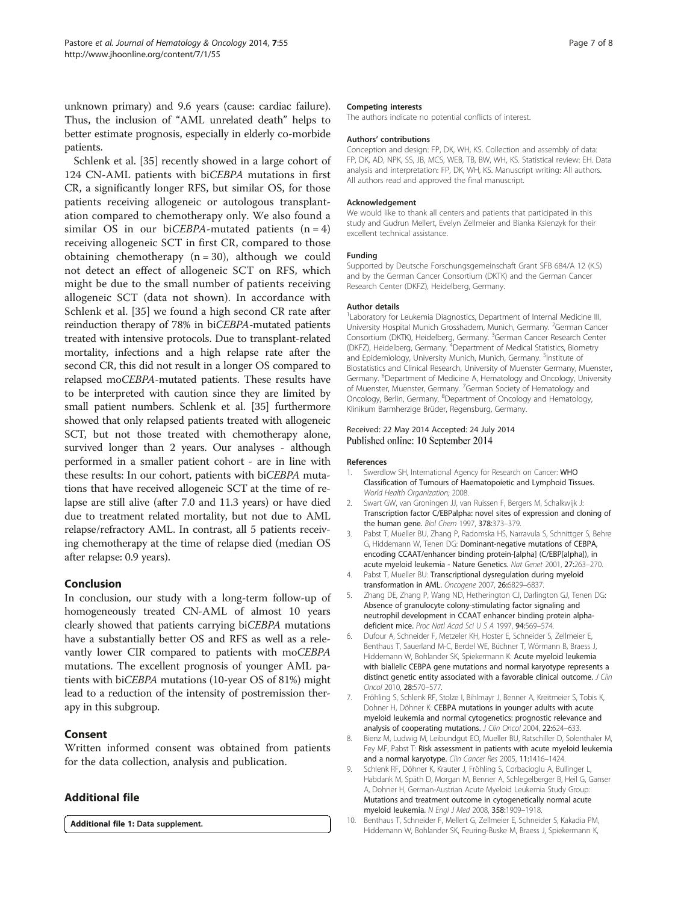<span id="page-6-0"></span>unknown primary) and 9.6 years (cause: cardiac failure). Thus, the inclusion of "AML unrelated death" helps to better estimate prognosis, especially in elderly co-morbide patients.

Schlenk et al. [[35\]](#page-7-0) recently showed in a large cohort of 124 CN-AML patients with biCEBPA mutations in first CR, a significantly longer RFS, but similar OS, for those patients receiving allogeneic or autologous transplantation compared to chemotherapy only. We also found a similar OS in our biCEBPA-mutated patients  $(n = 4)$ receiving allogeneic SCT in first CR, compared to those obtaining chemotherapy  $(n = 30)$ , although we could not detect an effect of allogeneic SCT on RFS, which might be due to the small number of patients receiving allogeneic SCT (data not shown). In accordance with Schlenk et al. [[35\]](#page-7-0) we found a high second CR rate after reinduction therapy of 78% in biCEBPA-mutated patients treated with intensive protocols. Due to transplant-related mortality, infections and a high relapse rate after the second CR, this did not result in a longer OS compared to relapsed moCEBPA-mutated patients. These results have to be interpreted with caution since they are limited by small patient numbers. Schlenk et al. [[35\]](#page-7-0) furthermore showed that only relapsed patients treated with allogeneic SCT, but not those treated with chemotherapy alone, survived longer than 2 years. Our analyses - although performed in a smaller patient cohort - are in line with these results: In our cohort, patients with biCEBPA mutations that have received allogeneic SCT at the time of relapse are still alive (after 7.0 and 11.3 years) or have died due to treatment related mortality, but not due to AML relapse/refractory AML. In contrast, all 5 patients receiving chemotherapy at the time of relapse died (median OS after relapse: 0.9 years).

# Conclusion

In conclusion, our study with a long-term follow-up of homogeneously treated CN-AML of almost 10 years clearly showed that patients carrying biCEBPA mutations have a substantially better OS and RFS as well as a relevantly lower CIR compared to patients with moCEBPA mutations. The excellent prognosis of younger AML patients with biCEBPA mutations (10-year OS of 81%) might lead to a reduction of the intensity of postremission therapy in this subgroup.

# Consent

Written informed consent was obtained from patients for the data collection, analysis and publication.

# Additional file

[Additional file 1:](http://www.jhoonline.org/content/supplementary/s13045-014-0055-7-s1.docx) Data supplement.

#### Competing interests

The authors indicate no potential conflicts of interest.

#### Authors' contributions

Conception and design: FP, DK, WH, KS. Collection and assembly of data: FP, DK, AD, NPK, SS, JB, MCS, WEB, TB, BW, WH, KS. Statistical review: EH. Data analysis and interpretation: FP, DK, WH, KS. Manuscript writing: All authors. All authors read and approved the final manuscript.

#### Acknowledgement

We would like to thank all centers and patients that participated in this study and Gudrun Mellert, Evelyn Zellmeier and Bianka Ksienzyk for their excellent technical assistance.

#### Funding

Supported by Deutsche Forschungsgemeinschaft Grant SFB 684/A 12 (K.S) and by the German Cancer Consortium (DKTK) and the German Cancer Research Center (DKFZ), Heidelberg, Germany.

#### Author details

<sup>1</sup> Laboratory for Leukemia Diagnostics, Department of Internal Medicine III University Hospital Munich Grosshadern, Munich, Germany. <sup>2</sup>German Cancer Consortium (DKTK), Heidelberg, Germany. <sup>3</sup>German Cancer Research Center (DKFZ), Heidelberg, Germany. <sup>4</sup>Department of Medical Statistics, Biometry and Epidemiology, University Munich, Munich, Germany. <sup>5</sup>Institute of Biostatistics and Clinical Research, University of Muenster Germany, Muenster, Germany. <sup>6</sup>Department of Medicine A, Hematology and Oncology, University of Muenster, Muenster, Germany. <sup>7</sup>German Society of Hematology and Oncology, Berlin, Germany. <sup>8</sup>Department of Oncology and Hematology, Klinikum Barmherzige Brüder, Regensburg, Germany.

#### Received: 22 May 2014 Accepted: 24 July 2014 Published online: 10 September 2014

#### References

- 1. Swerdlow SH, International Agency for Research on Cancer: WHO Classification of Tumours of Haematopoietic and Lymphoid Tissues. World Health Organization; 2008.
- 2. Swart GW, van Groningen JJ, van Ruissen F, Bergers M, Schalkwijk J: Transcription factor C/EBPalpha: novel sites of expression and cloning of the human gene. Biol Chem 1997, 378:373–379.
- 3. Pabst T, Mueller BU, Zhang P, Radomska HS, Narravula S, Schnittger S, Behre G, Hiddemann W, Tenen DG: Dominant-negative mutations of CEBPA, encoding CCAAT/enhancer binding protein-[alpha] (C/EBP[alpha]), in acute myeloid leukemia - Nature Genetics. Nat Genet 2001, 27:263–270.
- 4. Pabst T, Mueller BU: Transcriptional dysregulation during myeloid transformation in AML. Oncogene 2007, 26:6829–6837.
- 5. Zhang DE, Zhang P, Wang ND, Hetherington CJ, Darlington GJ, Tenen DG: Absence of granulocyte colony-stimulating factor signaling and neutrophil development in CCAAT enhancer binding protein alphadeficient mice. Proc Natl Acad Sci U S A 1997, 94:569-574.
- 6. Dufour A, Schneider F, Metzeler KH, Hoster E, Schneider S, Zellmeier E, Benthaus T, Sauerland M-C, Berdel WE, Büchner T, Wörmann B, Braess J, Hiddemann W, Bohlander SK, Spiekermann K: Acute myeloid leukemia with biallelic CEBPA gene mutations and normal karyotype represents a distinct genetic entity associated with a favorable clinical outcome. J Clin Oncol 2010, 28:570–577.
- 7. Fröhling S, Schlenk RF, Stolze I, Bihlmayr J, Benner A, Kreitmeier S, Tobis K, Dohner H, Döhner K: CEBPA mutations in younger adults with acute myeloid leukemia and normal cytogenetics: prognostic relevance and analysis of cooperating mutations. J Clin Oncol 2004, 22:624-633.
- 8. Bienz M, Ludwig M, Leibundgut EO, Mueller BU, Ratschiller D, Solenthaler M, Fey MF, Pabst T: Risk assessment in patients with acute myeloid leukemia and a normal karyotype. Clin Cancer Res 2005, 11:1416-1424.
- 9. Schlenk RF, Döhner K, Krauter J, Fröhling S, Corbacioglu A, Bullinger L, Habdank M, Späth D, Morgan M, Benner A, Schlegelberger B, Heil G, Ganser A, Dohner H, German-Austrian Acute Myeloid Leukemia Study Group: Mutations and treatment outcome in cytogenetically normal acute myeloid leukemia. N Engl J Med 2008, 358:1909–1918.
- 10. Benthaus T, Schneider F, Mellert G, Zellmeier E, Schneider S, Kakadia PM, Hiddemann W, Bohlander SK, Feuring-Buske M, Braess J, Spiekermann K,